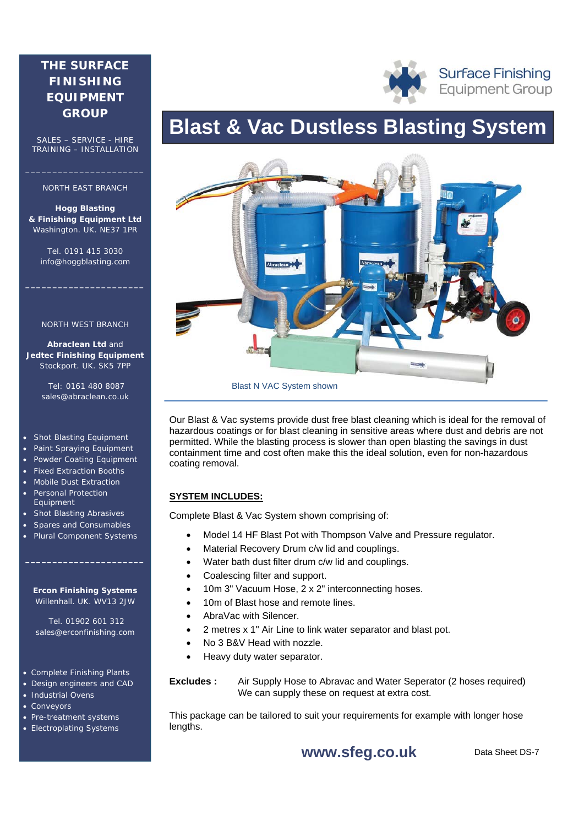# **THE SURFACE FINISHING EQUIPMENT GROUP**

SALES – SERVICE - HIRE TRAINING – INSTALLATION

#### NORTH EAST BRANCH

**\_\_\_\_\_\_\_\_\_\_\_\_\_\_\_\_\_\_\_\_\_\_** 

**Hogg Blasting & Finishing Equipment Ltd** Washington. UK. NE37 1PR

Tel. 0191 415 3030 info@hoggblasting.com

**\_\_\_\_\_\_\_\_\_\_\_\_\_\_\_\_\_\_\_\_\_\_** 

#### NORTH WEST BRANCH

**Abraclean Ltd** and **Jedtec Finishing Equipment** Stockport. UK. SK5 7PP

> Tel: 0161 480 8087 sales@abraclean.co.uk

#### Shot Blasting Equipment

- Paint Spraying Equipment
- Powder Coating Equipment
- Fixed Extraction Booths
- Mobile Dust Extraction Personal Protection
- Equipment • Shot Blasting Abrasives
- Spares and Consumables
- Plural Component Systems

#### **Ercon Finishing Systems** Willenhall. UK. WV13 2JW

**\_\_\_\_\_\_\_\_\_\_\_\_\_\_\_\_\_\_\_\_\_\_** 

 Tel. 01902 601 312 sales@erconfinishing.com

#### Complete Finishing Plants

- Design engineers and CAD
- **Industrial Ovens**
- Conveyors
- Pre-treatment systems
- Electroplating Systems

# **Blast & Vac Dustless Blasting System**



Our Blast & Vac systems provide dust free blast cleaning which is ideal for the removal of hazardous coatings or for blast cleaning in sensitive areas where dust and debris are not permitted. While the blasting process is slower than open blasting the savings in dust containment time and cost often make this the ideal solution, even for non-hazardous coating removal.

## **SYSTEM INCLUDES:**

Complete Blast & Vac System shown comprising of:

- Model 14 HF Blast Pot with Thompson Valve and Pressure regulator.
- Material Recovery Drum c/w lid and couplings.
- Water bath dust filter drum c/w lid and couplings.
- Coalescing filter and support.
- 10m 3" Vacuum Hose, 2 x 2" interconnecting hoses.
- 10m of Blast hose and remote lines.
- AbraVac with Silencer.
- 2 metres x 1" Air Line to link water separator and blast pot.
- No 3 B&V Head with nozzle.
- Heavy duty water separator.
- Ovens **Extra contract at extra cost.** We can supply these on request at extra cost. **Excludes :** Air Supply Hose to Abravac and Water Seperator (2 hoses required)

This package can be tailored to suit your requirements for example with longer hose lengths.

**www.sfeg.co.uk** 

Data Sheet DS-7

**Surface Finishing Equipment Group**